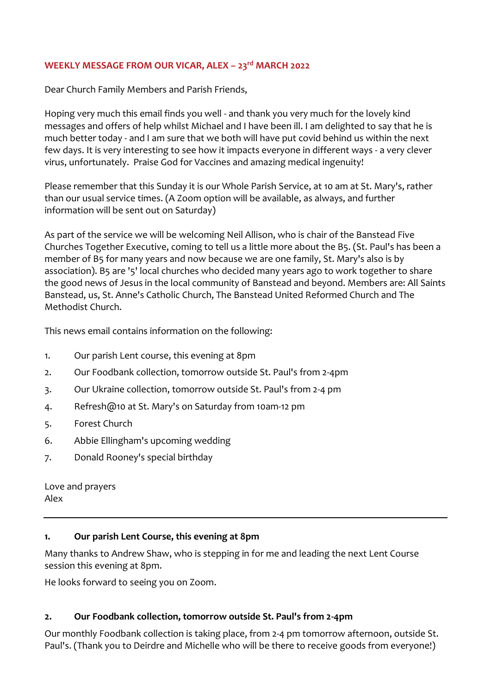### **WEEKLY MESSAGE FROM OUR VICAR, ALEX – 23rd MARCH 2022**

Dear Church Family Members and Parish Friends,

Hoping very much this email finds you well - and thank you very much for the lovely kind messages and offers of help whilst Michael and I have been ill. I am delighted to say that he is much better today - and I am sure that we both will have put covid behind us within the next few days. It is very interesting to see how it impacts everyone in different ways - a very clever virus, unfortunately. Praise God for Vaccines and amazing medical ingenuity!

Please remember that this Sunday it is our Whole Parish Service, at 10 am at St. Mary's, rather than our usual service times. (A Zoom option will be available, as always, and further information will be sent out on Saturday)

As part of the service we will be welcoming Neil Allison, who is chair of the Banstead Five Churches Together Executive, coming to tell us a little more about the B5. (St. Paul's has been a member of B5 for many years and now because we are one family, St. Mary's also is by association). B5 are '5' local churches who decided many years ago to work together to share the good news of Jesus in the local community of Banstead and beyond. Members are: All Saints Banstead, us, St. Anne's Catholic Church, The Banstead United Reformed Church and The Methodist Church.

This news email contains information on the following:

- 1. Our parish Lent course, this evening at 8pm
- 2. Our Foodbank collection, tomorrow outside St. Paul's from 2-4pm
- 3. Our Ukraine collection, tomorrow outside St. Paul's from 2-4 pm
- 4. Refresh@10 at St. Mary's on Saturday from 10am-12 pm
- 5. Forest Church
- 6. Abbie Ellingham's upcoming wedding
- 7. Donald Rooney's special birthday

Love and prayers Alex

### **1. Our parish Lent Course, this evening at 8pm**

Many thanks to Andrew Shaw, who is stepping in for me and leading the next Lent Course session this evening at 8pm.

He looks forward to seeing you on Zoom.

### **2. Our Foodbank collection, tomorrow outside St. Paul's from 2-4pm**

Our monthly Foodbank collection is taking place, from 2-4 pm tomorrow afternoon, outside St. Paul's. (Thank you to Deirdre and Michelle who will be there to receive goods from everyone!)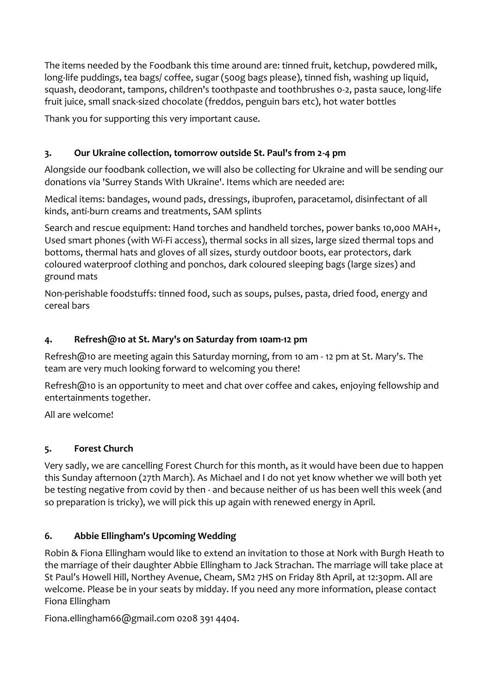The items needed by the Foodbank this time around are: tinned fruit, ketchup, powdered milk, long-life puddings, tea bags/ coffee, sugar (500g bags please), tinned fish, washing up liquid, squash, deodorant, tampons, children's toothpaste and toothbrushes 0-2, pasta sauce, long-life fruit juice, small snack-sized chocolate (freddos, penguin bars etc), hot water bottles

Thank you for supporting this very important cause.

# **3. Our Ukraine collection, tomorrow outside St. Paul's from 2-4 pm**

Alongside our foodbank collection, we will also be collecting for Ukraine and will be sending our donations via 'Surrey Stands With Ukraine'. Items which are needed are:

Medical items: bandages, wound pads, dressings, ibuprofen, paracetamol, disinfectant of all kinds, anti-burn creams and treatments, SAM splints

Search and rescue equipment: Hand torches and handheld torches, power banks 10,000 MAH+, Used smart phones (with Wi-Fi access), thermal socks in all sizes, large sized thermal tops and bottoms, thermal hats and gloves of all sizes, sturdy outdoor boots, ear protectors, dark coloured waterproof clothing and ponchos, dark coloured sleeping bags (large sizes) and ground mats

Non-perishable foodstuffs: tinned food, such as soups, pulses, pasta, dried food, energy and cereal bars

## **4. Refresh@10 at St. Mary's on Saturday from 10am-12 pm**

Refresh@10 are meeting again this Saturday morning, from 10 am - 12 pm at St. Mary's. The team are very much looking forward to welcoming you there!

Refresh@10 is an opportunity to meet and chat over coffee and cakes, enjoying fellowship and entertainments together.

All are welcome!

## **5. Forest Church**

Very sadly, we are cancelling Forest Church for this month, as it would have been due to happen this Sunday afternoon (27th March). As Michael and I do not yet know whether we will both yet be testing negative from covid by then - and because neither of us has been well this week (and so preparation is tricky), we will pick this up again with renewed energy in April.

## **6. Abbie Ellingham's Upcoming Wedding**

Robin & Fiona Ellingham would like to extend an invitation to those at Nork with Burgh Heath to the marriage of their daughter Abbie Ellingham to Jack Strachan. The marriage will take place at St Paul's Howell Hill, Northey Avenue, Cheam, SM2 7HS on Friday 8th April, at 12:30pm. All are welcome. Please be in your seats by midday. If you need any more information, please contact Fiona Ellingham

Fiona.ellingham66@gmail.com 0208 391 4404.